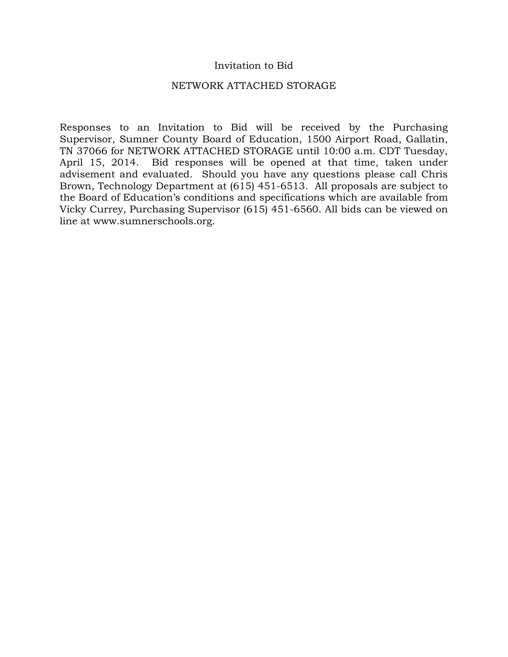### Invitation to Bid

#### NETWORK ATTACHED STORAGE

Responses to an Invitation to Bid will be received by the Purchasing Supervisor, Sumner County Board of Education, 1500 Airport Road, Gallatin, TN 37066 for NETWORK ATTACHED STORAGE until 10:00 a.m. CDT Tuesday, April 15, 2014. Bid responses will be opened at that time, taken under advisement and evaluated. Should you have any questions please call Chris Brown, Technology Department at (615) 451-6513. All proposals are subject to the Board of Education's conditions and specifications which are available from Vicky Currey, Purchasing Supervisor (615) 451-6560. All bids can be viewed on line at www.sumnerschools.org.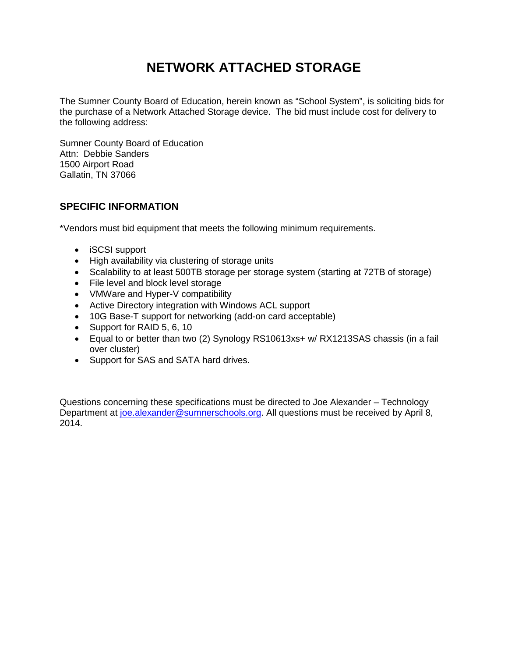# **NETWORK ATTACHED STORAGE**

The Sumner County Board of Education, herein known as "School System", is soliciting bids for the purchase of a Network Attached Storage device. The bid must include cost for delivery to the following address:

Sumner County Board of Education Attn: Debbie Sanders 1500 Airport Road Gallatin, TN 37066

### **SPECIFIC INFORMATION**

\*Vendors must bid equipment that meets the following minimum requirements.

- iSCSI support
- High availability via clustering of storage units
- Scalability to at least 500TB storage per storage system (starting at 72TB of storage)
- File level and block level storage
- VMWare and Hyper-V compatibility
- Active Directory integration with Windows ACL support
- 10G Base-T support for networking (add-on card acceptable)
- Support for RAID 5, 6, 10
- Equal to or better than two (2) Synology RS10613xs+ w/ RX1213SAS chassis (in a fail over cluster)
- Support for SAS and SATA hard drives.

Questions concerning these specifications must be directed to Joe Alexander – Technology Department at [joe.alexander@sumnerschools.org.](mailto:joe.alexander@sumnerschools.org) All questions must be received by April 8, 2014.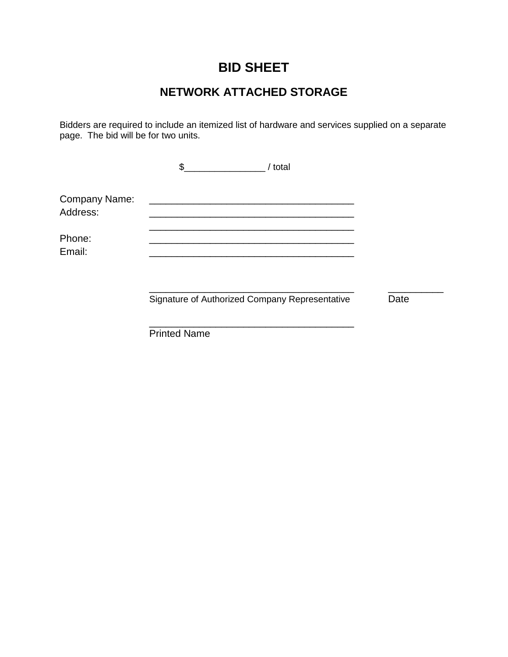# **BID SHEET**

## **NETWORK ATTACHED STORAGE**

Bidders are required to include an itemized list of hardware and services supplied on a separate page. The bid will be for two units.

|                                  | / total<br>\$.                                 |      |
|----------------------------------|------------------------------------------------|------|
| <b>Company Name:</b><br>Address: |                                                |      |
| Phone:<br>Email:                 |                                                |      |
|                                  | Signature of Authorized Company Representative | Date |
|                                  | <b>Printed Name</b>                            |      |